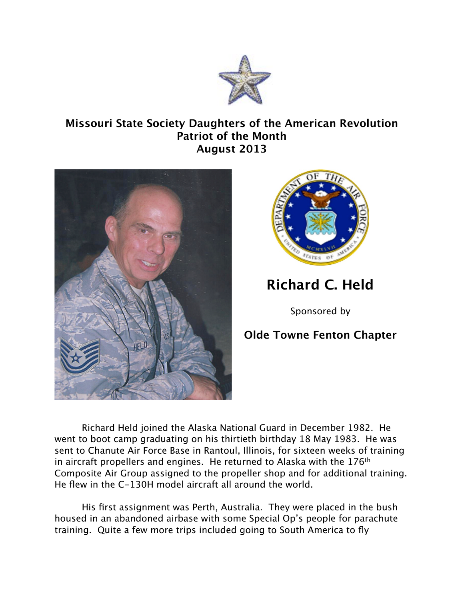

## **Missouri State Society Daughters of the American Revolution Patriot of the Month August 2013**





## **Richard C. Held**

Sponsored by

## **Olde Towne Fenton Chapter**

Richard Held joined the Alaska National Guard in December 1982. He went to boot camp graduating on his thirtieth birthday 18 May 1983. He was sent to Chanute Air Force Base in Rantoul, Illinois, for sixteen weeks of training in aircraft propellers and engines. He returned to Alaska with the 176<sup>th</sup> Composite Air Group assigned to the propeller shop and for additional training. He flew in the C-130H model aircraft all around the world.

His first assignment was Perth, Australia. They were placed in the bush housed in an abandoned airbase with some Special Op's people for parachute training. Quite a few more trips included going to South America to fly